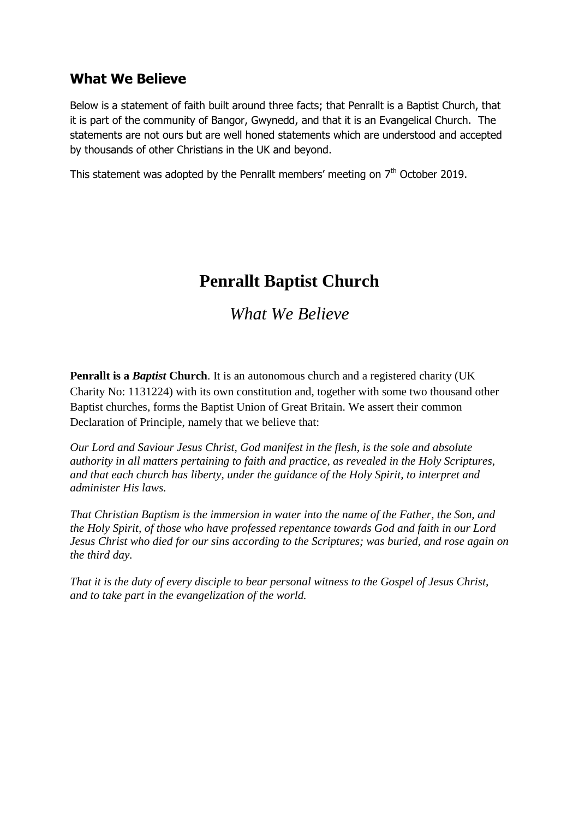## **What We Believe**

Below is a statement of faith built around three facts; that Penrallt is a Baptist Church, that it is part of the community of Bangor, Gwynedd, and that it is an Evangelical Church. The statements are not ours but are well honed statements which are understood and accepted by thousands of other Christians in the UK and beyond.

This statement was adopted by the Penrallt members' meeting on  $7<sup>th</sup>$  October 2019.

## **Penrallt Baptist Church**

*What We Believe*

**Penrallt is a** *Baptist* **Church**. It is an autonomous church and a registered charity (UK Charity No: 1131224) with its own constitution and, together with some two thousand other Baptist churches, forms the Baptist Union of Great Britain. We assert their common Declaration of Principle, namely that we believe that:

*Our Lord and Saviour Jesus Christ, God manifest in the flesh, is the sole and absolute authority in all matters pertaining to faith and practice, as revealed in the Holy Scriptures, and that each church has liberty, under the guidance of the Holy Spirit, to interpret and administer His laws.*

*That Christian Baptism is the immersion in water into the name of the Father, the Son, and the Holy Spirit, of those who have professed repentance towards God and faith in our Lord Jesus Christ who died for our sins according to the Scriptures; was buried, and rose again on the third day.*

*That it is the duty of every disciple to bear personal witness to the Gospel of Jesus Christ, and to take part in the evangelization of the world.*